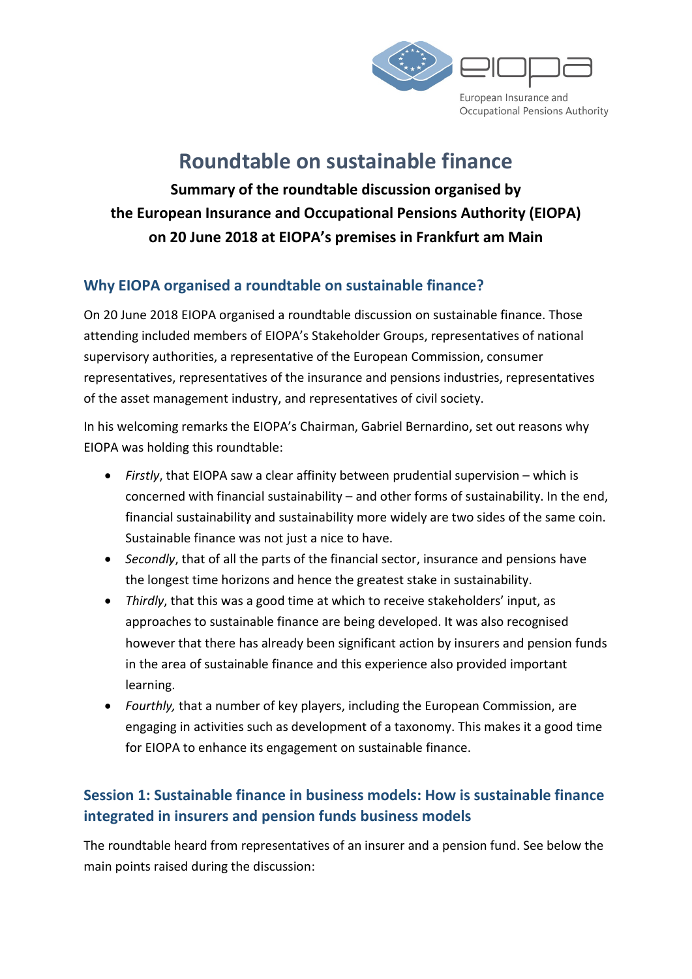

## Roundtable on sustainable finance

Summary of the roundtable discussion organised by the European Insurance and Occupational Pensions Authority (EIOPA) on 20 June 2018 at EIOPA's premises in Frankfurt am Main

#### Why EIOPA organised a roundtable on sustainable finance?

On 20 June 2018 EIOPA organised a roundtable discussion on sustainable finance. Those attending included members of EIOPA's Stakeholder Groups, representatives of national supervisory authorities, a representative of the European Commission, consumer representatives, representatives of the insurance and pensions industries, representatives of the asset management industry, and representatives of civil society.

In his welcoming remarks the EIOPA's Chairman, Gabriel Bernardino, set out reasons why EIOPA was holding this roundtable:

- Firstly, that EIOPA saw a clear affinity between prudential supervision which is concerned with financial sustainability – and other forms of sustainability. In the end, financial sustainability and sustainability more widely are two sides of the same coin. Sustainable finance was not just a nice to have.
- Secondly, that of all the parts of the financial sector, insurance and pensions have the longest time horizons and hence the greatest stake in sustainability.
- Thirdly, that this was a good time at which to receive stakeholders' input, as approaches to sustainable finance are being developed. It was also recognised however that there has already been significant action by insurers and pension funds in the area of sustainable finance and this experience also provided important learning.
- Fourthly, that a number of key players, including the European Commission, are engaging in activities such as development of a taxonomy. This makes it a good time for EIOPA to enhance its engagement on sustainable finance.

#### Session 1: Sustainable finance in business models: How is sustainable finance integrated in insurers and pension funds business models

The roundtable heard from representatives of an insurer and a pension fund. See below the main points raised during the discussion: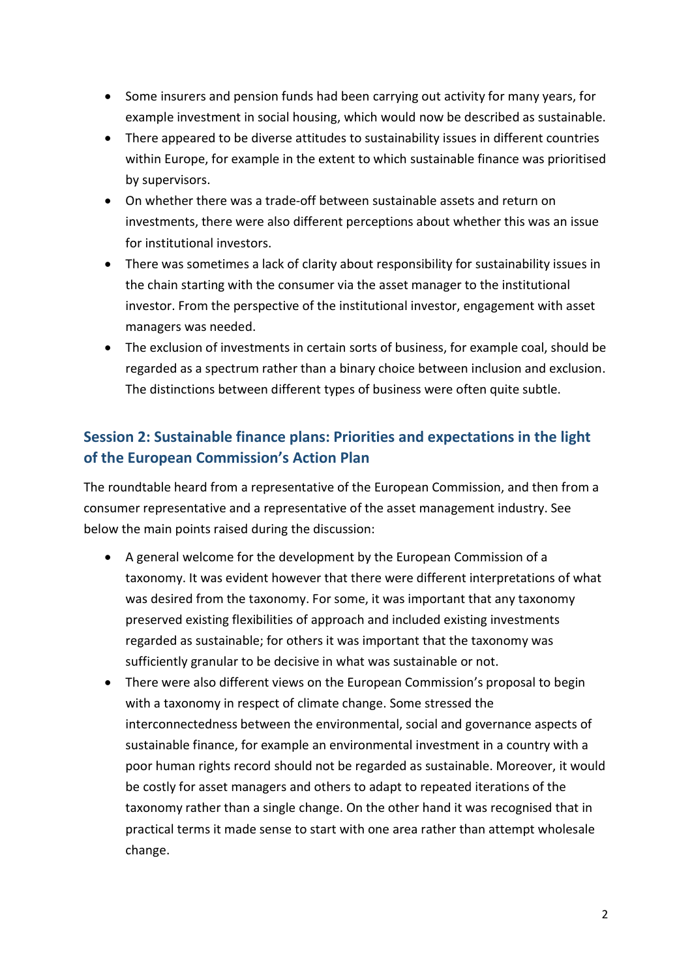- Some insurers and pension funds had been carrying out activity for many years, for example investment in social housing, which would now be described as sustainable.
- There appeared to be diverse attitudes to sustainability issues in different countries within Europe, for example in the extent to which sustainable finance was prioritised by supervisors.
- On whether there was a trade-off between sustainable assets and return on investments, there were also different perceptions about whether this was an issue for institutional investors.
- There was sometimes a lack of clarity about responsibility for sustainability issues in the chain starting with the consumer via the asset manager to the institutional investor. From the perspective of the institutional investor, engagement with asset managers was needed.
- The exclusion of investments in certain sorts of business, for example coal, should be regarded as a spectrum rather than a binary choice between inclusion and exclusion. The distinctions between different types of business were often quite subtle.

### Session 2: Sustainable finance plans: Priorities and expectations in the light of the European Commission's Action Plan

The roundtable heard from a representative of the European Commission, and then from a consumer representative and a representative of the asset management industry. See below the main points raised during the discussion:

- A general welcome for the development by the European Commission of a taxonomy. It was evident however that there were different interpretations of what was desired from the taxonomy. For some, it was important that any taxonomy preserved existing flexibilities of approach and included existing investments regarded as sustainable; for others it was important that the taxonomy was sufficiently granular to be decisive in what was sustainable or not.
- There were also different views on the European Commission's proposal to begin with a taxonomy in respect of climate change. Some stressed the interconnectedness between the environmental, social and governance aspects of sustainable finance, for example an environmental investment in a country with a poor human rights record should not be regarded as sustainable. Moreover, it would be costly for asset managers and others to adapt to repeated iterations of the taxonomy rather than a single change. On the other hand it was recognised that in practical terms it made sense to start with one area rather than attempt wholesale change.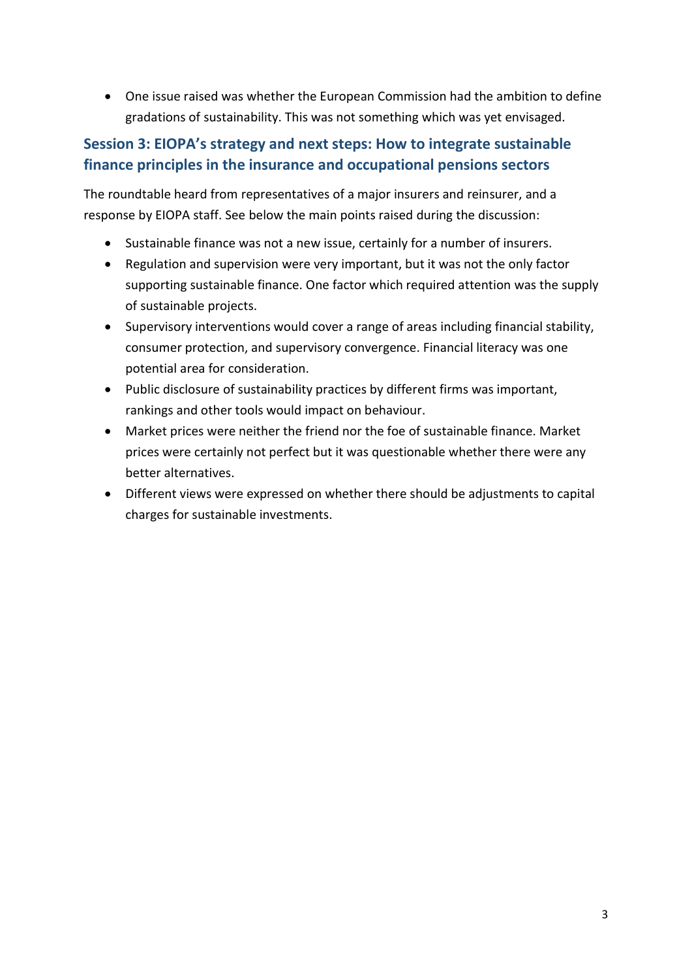One issue raised was whether the European Commission had the ambition to define gradations of sustainability. This was not something which was yet envisaged.

#### Session 3: EIOPA's strategy and next steps: How to integrate sustainable finance principles in the insurance and occupational pensions sectors

The roundtable heard from representatives of a major insurers and reinsurer, and a response by EIOPA staff. See below the main points raised during the discussion:

- Sustainable finance was not a new issue, certainly for a number of insurers.
- Regulation and supervision were very important, but it was not the only factor supporting sustainable finance. One factor which required attention was the supply of sustainable projects.
- Supervisory interventions would cover a range of areas including financial stability, consumer protection, and supervisory convergence. Financial literacy was one potential area for consideration.
- Public disclosure of sustainability practices by different firms was important, rankings and other tools would impact on behaviour.
- Market prices were neither the friend nor the foe of sustainable finance. Market prices were certainly not perfect but it was questionable whether there were any better alternatives.
- Different views were expressed on whether there should be adjustments to capital charges for sustainable investments.